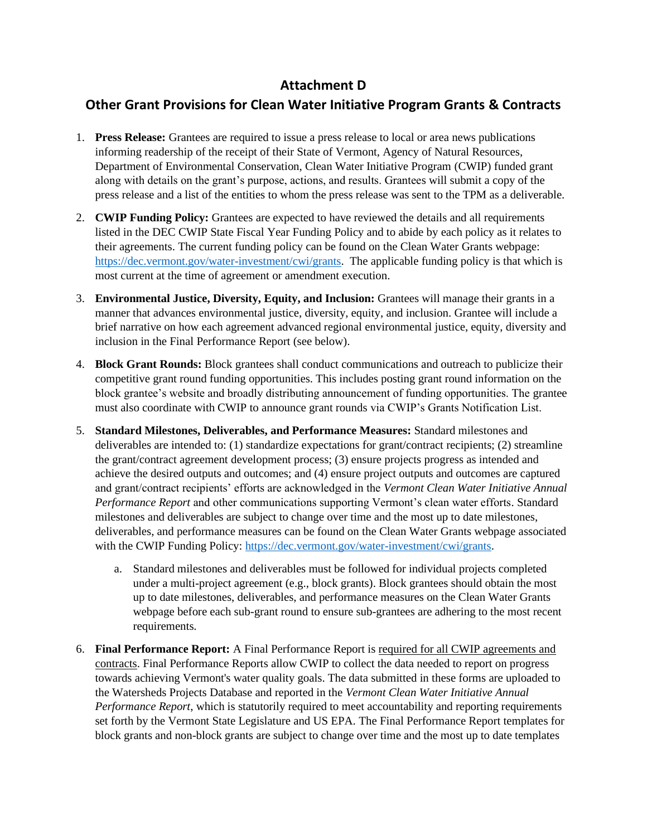## **Attachment D**

## **Other Grant Provisions for Clean Water Initiative Program Grants & Contracts**

- 1. **Press Release:** Grantees are required to issue a press release to local or area news publications informing readership of the receipt of their State of Vermont, Agency of Natural Resources, Department of Environmental Conservation, Clean Water Initiative Program (CWIP) funded grant along with details on the grant's purpose, actions, and results. Grantees will submit a copy of the press release and a list of the entities to whom the press release was sent to the TPM as a deliverable.
- 2. **CWIP Funding Policy:** Grantees are expected to have reviewed the details and all requirements listed in the DEC CWIP State Fiscal Year Funding Policy and to abide by each policy as it relates to their agreements. The current funding policy can be found on the Clean Water Grants webpage: [https://dec.vermont.gov/water-investment/cwi/grants.](https://dec.vermont.gov/water-investment/cwi/grants) The applicable funding policy is that which is most current at the time of agreement or amendment execution.
- 3. **Environmental Justice, Diversity, Equity, and Inclusion:** Grantees will manage their grants in a manner that advances environmental justice, diversity, equity, and inclusion. Grantee will include a brief narrative on how each agreement advanced regional environmental justice, equity, diversity and inclusion in the Final Performance Report (see below).
- 4. **Block Grant Rounds:** Block grantees shall conduct communications and outreach to publicize their competitive grant round funding opportunities. This includes posting grant round information on the block grantee's website and broadly distributing announcement of funding opportunities. The grantee must also coordinate with CWIP to announce grant rounds via CWIP's Grants Notification List.
- 5. **Standard Milestones, Deliverables, and Performance Measures:** Standard milestones and deliverables are intended to: (1) standardize expectations for grant/contract recipients; (2) streamline the grant/contract agreement development process; (3) ensure projects progress as intended and achieve the desired outputs and outcomes; and (4) ensure project outputs and outcomes are captured and grant/contract recipients' efforts are acknowledged in the *Vermont Clean Water Initiative Annual Performance Report* and other communications supporting Vermont's clean water efforts. Standard milestones and deliverables are subject to change over time and the most up to date milestones, deliverables, and performance measures can be found on the Clean Water Grants webpage associated with the CWIP Funding Policy: [https://dec.vermont.gov/water-investment/cwi/grants.](https://dec.vermont.gov/water-investment/cwi/grants)
	- a. Standard milestones and deliverables must be followed for individual projects completed under a multi-project agreement (e.g., block grants). Block grantees should obtain the most up to date milestones, deliverables, and performance measures on the Clean Water Grants webpage before each sub-grant round to ensure sub-grantees are adhering to the most recent requirements.
- 6. **Final Performance Report:** A Final Performance Report is required for all CWIP agreements and contracts. Final Performance Reports allow CWIP to collect the data needed to report on progress towards achieving Vermont's water quality goals. The data submitted in these forms are uploaded to the Watersheds Projects Database and reported in the *Vermont Clean Water Initiative Annual Performance Report*, which is statutorily required to meet accountability and reporting requirements set forth by the Vermont State Legislature and US EPA. The Final Performance Report templates for block grants and non-block grants are subject to change over time and the most up to date templates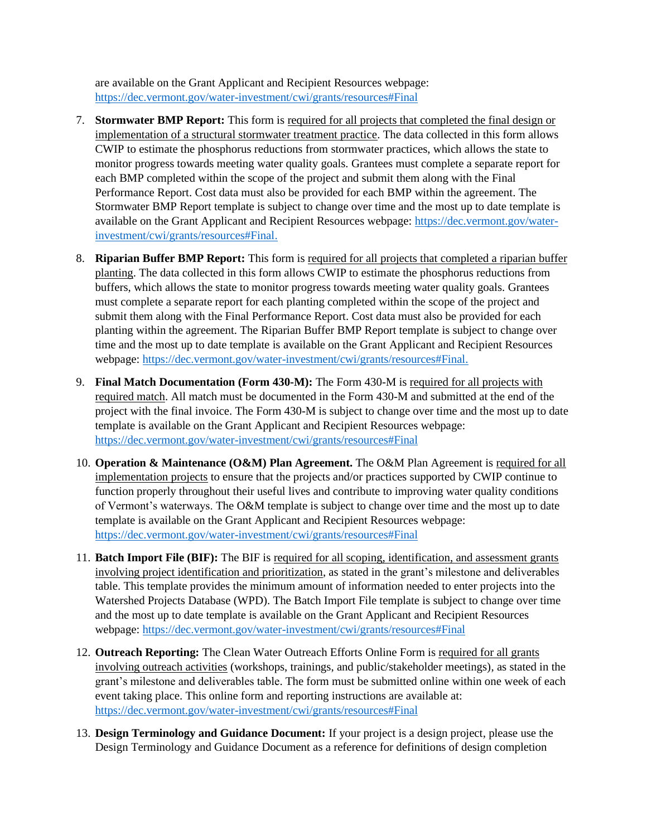are available on the Grant Applicant and Recipient Resources webpage: <https://dec.vermont.gov/water-investment/cwi/grants/resources#Final>

- 7. **Stormwater BMP Report:** This form is required for all projects that completed the final design or implementation of a structural stormwater treatment practice. The data collected in this form allows CWIP to estimate the phosphorus reductions from stormwater practices, which allows the state to monitor progress towards meeting water quality goals. Grantees must complete a separate report for each BMP completed within the scope of the project and submit them along with the Final Performance Report. Cost data must also be provided for each BMP within the agreement. The Stormwater BMP Report template is subject to change over time and the most up to date template is available on the Grant Applicant and Recipient Resources webpage: [https://dec.vermont.gov/water](https://dec.vermont.gov/water-investment/cwi/grants/resources#Final)[investment/cwi/grants/resources#Final.](https://dec.vermont.gov/water-investment/cwi/grants/resources#Final)
- 8. **Riparian Buffer BMP Report:** This form is required for all projects that completed a riparian buffer planting. The data collected in this form allows CWIP to estimate the phosphorus reductions from buffers, which allows the state to monitor progress towards meeting water quality goals. Grantees must complete a separate report for each planting completed within the scope of the project and submit them along with the Final Performance Report. Cost data must also be provided for each planting within the agreement. The Riparian Buffer BMP Report template is subject to change over time and the most up to date template is available on the Grant Applicant and Recipient Resources webpage: [https://dec.vermont.gov/water-investment/cwi/grants/resources#Final.](https://dec.vermont.gov/water-investment/cwi/grants/resources#Final)
- 9. **Final Match Documentation (Form 430-M):** The Form 430-M is required for all projects with required match. All match must be documented in the Form 430-M and submitted at the end of the project with the final invoice. The Form 430-M is subject to change over time and the most up to date template is available on the Grant Applicant and Recipient Resources webpage: <https://dec.vermont.gov/water-investment/cwi/grants/resources#Final>
- 10. **Operation & Maintenance (O&M) Plan Agreement.** The O&M Plan Agreement is required for all implementation projects to ensure that the projects and/or practices supported by CWIP continue to function properly throughout their useful lives and contribute to improving water quality conditions of Vermont's waterways. The O&M template is subject to change over time and the most up to date template is available on the Grant Applicant and Recipient Resources webpage: <https://dec.vermont.gov/water-investment/cwi/grants/resources#Final>
- 11. **Batch Import File (BIF):** The BIF is required for all scoping, identification, and assessment grants involving project identification and prioritization, as stated in the grant's milestone and deliverables table. This template provides the minimum amount of information needed to enter projects into the Watershed Projects Database (WPD). The Batch Import File template is subject to change over time and the most up to date template is available on the Grant Applicant and Recipient Resources webpage:<https://dec.vermont.gov/water-investment/cwi/grants/resources#Final>
- 12. **Outreach Reporting:** The Clean Water Outreach Efforts Online Form is required for all grants involving outreach activities (workshops, trainings, and public/stakeholder meetings), as stated in the grant's milestone and deliverables table. The form must be submitted online within one week of each event taking place. This online form and reporting instructions are available at: <https://dec.vermont.gov/water-investment/cwi/grants/resources#Final>
- 13. **Design Terminology and Guidance Document:** If your project is a design project, please use the Design Terminology and Guidance Document as a reference for definitions of design completion